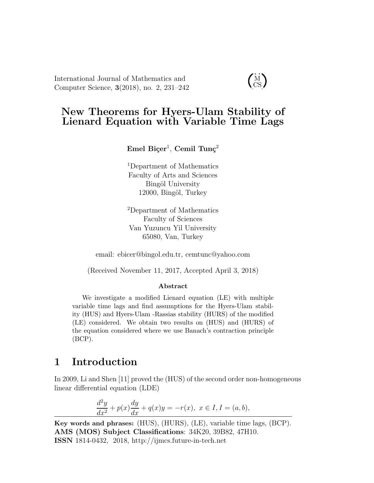International Journal of Mathematics and Computer Science, 3(2018), no. 2, 231–242

 $\dot{M}$ CS

## New Theorems for Hyers-Ulam Stability of Lienard Equation with Variable Time Lags

 $\rm Emel\,\, Biger^1,\,Cemil\,\,Tung^2$ 

<sup>1</sup>Department of Mathematics Faculty of Arts and Sciences Bingöl University 12000, Bingöl, Turkey

<sup>2</sup>Department of Mathematics Faculty of Sciences Van Yuzuncu Yil University 65080, Van, Turkey

email: ebicer@bingol.edu.tr, cemtunc@yahoo.com

(Received November 11, 2017, Accepted April 3, 2018)

#### Abstract

We investigate a modified Lienard equation (LE) with multiple variable time lags and find assumptions for the Hyers-Ulam stability (HUS) and Hyers-Ulam -Rassias stability (HURS) of the modified (LE) considered. We obtain two results on (HUS) and (HURS) of the equation considered where we use Banach's contraction principle (BCP).

### 1 Introduction

In 2009, Li and Shen [11] proved the (HUS) of the second order non-homogeneous linear differential equation (LDE)

$$
\frac{d^2y}{dx^2} + p(x)\frac{dy}{dx} + q(x)y = -r(x), \ x \in I, I = (a, b),
$$

Key words and phrases: (HUS), (HURS), (LE), variable time lags, (BCP). AMS (MOS) Subject Classifications: 34K20, 39B82, 47H10. ISSN 1814-0432, 2018, http://ijmcs.future-in-tech.net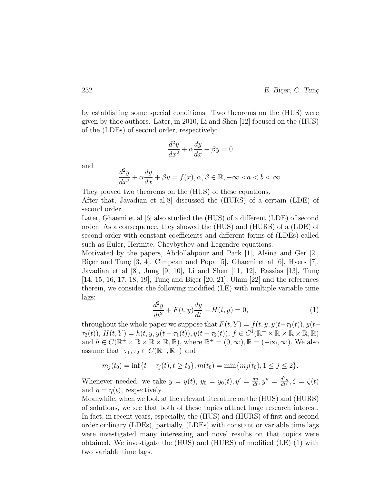by establishing some special conditions. Two theorems on the (HUS) were given by thoe authors. Later, in 2010, Li and Shen [12] focused on the (HUS) of the (LDEs) of second order, respectively:

$$
\frac{d^2y}{dx^2} + \alpha \frac{dy}{dx} + \beta y = 0
$$

and

$$
\frac{d^2y}{dx^2} + \alpha \frac{dy}{dx} + \beta y = f(x), \alpha, \beta \in \mathbb{R}, -\infty < a < b < \infty.
$$

They proved two theorems on the (HUS) of these equations. After that, Javadian et also discussed the  $(HURS)$  of a certain (LDE) of second order.

Later, Ghaemi et al [6] also studied the (HUS) of a different (LDE) of second order. As a consequence, they showed the (HUS) and (HURS) of a (LDE) of second-order with constant coefficients and different forms of (LDEs) called such as Euler, Hermite, Cheybyshev and Legendre equations.

Motivated by the papers, Abdollahpour and Park [1], Alsina and Ger [2], Bicer and Tunc [3, 4], Cimpean and Popa [5], Ghaemi et al  $[6]$ , Hyers [7], Javadian et al  $[8]$ , Jung  $[9, 10]$ , Li and Shen  $[11, 12]$ , Rassias  $[13]$ , Tung  $[14, 15, 16, 17, 18, 19]$ , Tunç and Biçer  $[20, 21]$ , Ulam  $[22]$  and the references therein, we consider the following modified (LE) with multiple variable time lags:

$$
\frac{d^2y}{dt^2} + F(t, y)\frac{dy}{dt} + H(t, y) = 0,
$$
\n(1)

throughout the whole paper we suppose that  $F(t, Y) = f(t, y, y(t-\tau_1(t)), y(t-\tau_1(t))$  $\tau_2(t)$ ),  $H(t, Y) = h(t, y, y(t - \tau_1(t)), y(t - \tau_2(t)), f \in C^1(\mathbb{R}^+ \times \mathbb{R} \times \mathbb{R} \times \mathbb{R}, \mathbb{R})$ and  $h \in C(\mathbb{R}^+ \times \mathbb{R} \times \mathbb{R} \times \mathbb{R}, \mathbb{R})$ , where  $\mathbb{R}^+ = (0, \infty)$ ,  $\mathbb{R} = (-\infty, \infty)$ . We also assume that  $\tau_1, \tau_2 \in C(\mathbb{R}^+, \mathbb{R}^+)$  and

$$
m_j(t_0) = \inf\{t - \tau_j(t), t \ge t_0\}, m(t_0) = \min\{m_j(t_0), 1 \le j \le 2\}.
$$

Whenever needed, we take  $y = y(t)$ ,  $y_0 = y_0(t)$ ,  $y' = \frac{dy}{dt}$ ,  $y'' = \frac{d^2y}{dt^2}$ ,  $\zeta = \zeta(t)$ and  $\eta = \eta(t)$ , respectively.

Meanwhile, when we look at the relevant literature on the (HUS) and (HURS) of solutions, we see that both of these topics attract huge research interest. In fact, in recent years, especially, the (HUS) and (HURS) of first and second order ordinary (LDEs), partially, (LDEs) with constant or variable time lags were investigated many interesting and novel results on that topics were obtained. We investigate the (HUS) and (HURS) of modified (LE) (1) with two variable time lags.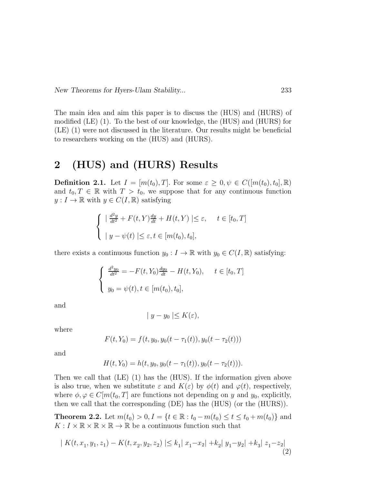The main idea and aim this paper is to discuss the (HUS) and (HURS) of modified (LE) (1). To the best of our knowledge, the (HUS) and (HURS) for (LE) (1) were not discussed in the literature. Our results might be beneficial to researchers working on the (HUS) and (HURS).

## 2 (HUS) and (HURS) Results

**Definition 2.1.** Let  $I = [m(t_0), T]$ . For some  $\varepsilon \geq 0, \psi \in C([m(t_0), t_0], \mathbb{R})$ and  $t_0, T \in \mathbb{R}$  with  $T > t_0$ , we suppose that for any continuous function  $y: I \to \mathbb{R}$  with  $y \in C(I, \mathbb{R})$  satisfying

$$
\begin{cases}\n\left| \frac{d^2y}{dt^2} + F(t, Y) \frac{dy}{dt} + H(t, Y) \right| \le \varepsilon, \quad t \in [t_0, T] \\
\left| y - \psi(t) \right| \le \varepsilon, t \in [m(t_0), t_0],\n\end{cases}
$$

there exists a continuous function  $y_0 : I \to \mathbb{R}$  with  $y_0 \in C(I, \mathbb{R})$  satisfying:

$$
\begin{cases} \frac{d^2 y_0}{dt^2} = -F(t, Y_0) \frac{dy_0}{dt} - H(t, Y_0), \quad t \in [t_0, T] \\ y_0 = \psi(t), t \in [m(t_0), t_0], \end{cases}
$$

and

$$
|y - y_0| \le K(\varepsilon),
$$

where

$$
F(t, Y_0) = f(t, y_0, y_0(t - \tau_1(t)), y_0(t - \tau_2(t)))
$$

and

$$
H(t, Y_0) = h(t, y_0, y_0(t - \tau_1(t)), y_0(t - \tau_2(t))).
$$

Then we call that (LE) (1) has the (HUS). If the information given above is also true, when we substitute  $\varepsilon$  and  $K(\varepsilon)$  by  $\phi(t)$  and  $\varphi(t)$ , respectively, where  $\phi, \varphi \in C[m(t_0, T]$  are functions not depending on y and  $y_0$ , explicitly, then we call that the corresponding (DE) has the (HUS) (or the (HURS)).

**Theorem 2.2.** Let  $m(t_0) > 0, I = \{t \in \mathbb{R} : t_0 - m(t_0) \le t \le t_0 + m(t_0)\}\)$  and  $K: I \times \mathbb{R} \times \mathbb{R} \times \mathbb{R} \to \mathbb{R}$  be a continuous function such that

$$
| K(t, x_1, y_1, z_1) - K(t, x_2, y_2, z_2) | \le k_1 | x_1 - x_2 | + k_2 | y_1 - y_2 | + k_3 | z_1 - z_2 |
$$
\n<sup>(2)</sup>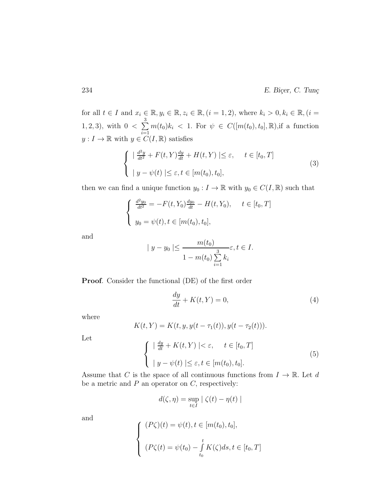for all  $t \in I$  and  $x_i \in \mathbb{R}, y_i \in \mathbb{R}, z_i \in \mathbb{R}, (i = 1, 2)$ , where  $k_i > 0, k_i \in \mathbb{R}, (i = 1, 2)$ 1, 2, 3), with  $0 < \sum$ 3  $i=1$  $m(t_0)k_i$  < 1. For  $\psi \in C([m(t_0), t_0], \mathbb{R})$ , if a function  $y: I \to \mathbb{R}$  with  $y \in C(I, \mathbb{R})$  satisfies

$$
\begin{cases}\n\left| \frac{d^2y}{dt^2} + F(t, Y) \frac{dy}{dt} + H(t, Y) \right| \leq \varepsilon, \quad t \in [t_0, T] \\
\left| y - \psi(t) \right| \leq \varepsilon, t \in [m(t_0), t_0],\n\end{cases} \tag{3}
$$

then we can find a unique function  $y_0: I \to \mathbb{R}$  with  $y_0 \in C(I, \mathbb{R})$  such that

$$
\begin{cases} \frac{d^2 y_0}{dt^2} = -F(t, Y_0) \frac{dy_0}{dt} - H(t, Y_0), \quad t \in [t_0, T] \\ y_0 = \psi(t), t \in [m(t_0), t_0], \end{cases}
$$

and

$$
|y - y_0| \le \frac{m(t_0)}{1 - m(t_0) \sum_{i=1}^3 k_i} \varepsilon, t \in I.
$$

Proof. Consider the functional (DE) of the first order

$$
\frac{dy}{dt} + K(t, Y) = 0,\t\t(4)
$$

where

$$
K(t,Y) = K(t, y, y(t - \tau_1(t)), y(t - \tau_2(t))).
$$

Let

$$
\begin{cases} \left| \frac{dy}{dt} + K(t, Y) \right| < \varepsilon, \quad t \in [t_0, T] \\ \left| y - \psi(t) \right| < \varepsilon, t \in [m(t_0), t_0]. \end{cases} \tag{5}
$$

Assume that C is the space of all continuous functions from  $I \to \mathbb{R}$ . Let d be a metric and  $P$  an operator on  $C$ , respectively:

$$
d(\zeta, \eta) = \sup_{t \in I} |\zeta(t) - \eta(t)|
$$

and

$$
\begin{cases}\n(P\zeta)(t) = \psi(t), t \in [m(t_0), t_0], \\
(P\zeta(t) = \psi(t_0) - \int_{t_0}^t K(\zeta) ds, t \in [t_0, T]\n\end{cases}
$$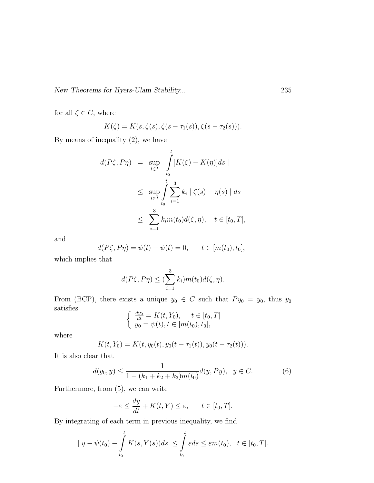New Theorems for Hyers-Ulam Stability... 235

for all  $\zeta \in C$ , where

$$
K(\zeta) = K(s, \zeta(s), \zeta(s-\tau_1(s)), \zeta(s-\tau_2(s))).
$$

By means of inequality (2), we have

$$
d(P\zeta, P\eta) = \sup_{t \in I} |\int_{t_0}^t [K(\zeta) - K(\eta)]ds|
$$
  

$$
\leq \sup_{t \in I} \int_{t_0}^t \sum_{i=1}^3 k_i |\zeta(s) - \eta(s)| ds
$$
  

$$
\leq \sum_{i=1}^3 k_i m(t_0) d(\zeta, \eta), \quad t \in [t_0, T],
$$

and

$$
d(P\zeta, P\eta) = \psi(t) - \psi(t) = 0, \qquad t \in [m(t_0), t_0],
$$

which implies that

$$
d(P\zeta, P\eta) \leq (\sum_{i=1}^3 k_i) m(t_0) d(\zeta, \eta).
$$

From (BCP), there exists a unique  $y_0 \in C$  such that  $Py_0 = y_0$ , thus  $y_0$ satisfies

$$
\begin{cases} \frac{dy_0}{dt} = K(t, Y_0), \quad t \in [t_0, T] \\ y_0 = \psi(t), t \in [m(t_0), t_0], \end{cases}
$$

where

$$
K(t, Y_0) = K(t, y_0(t), y_0(t - \tau_1(t)), y_0(t - \tau_2(t))).
$$

It is also clear that

$$
d(y_0, y) \le \frac{1}{1 - (k_1 + k_2 + k_3)m(t_0)} d(y, Py), \ \ y \in C. \tag{6}
$$

Furthermore, from (5), we can write

$$
-\varepsilon \le \frac{dy}{dt} + K(t, Y) \le \varepsilon, \qquad t \in [t_0, T].
$$

By integrating of each term in previous inequality, we find

$$
|y - \psi(t_0) - \int_{t_0}^t K(s, Y(s))ds| \leq \int_{t_0}^t \varepsilon ds \leq \varepsilon m(t_0), \quad t \in [t_0, T].
$$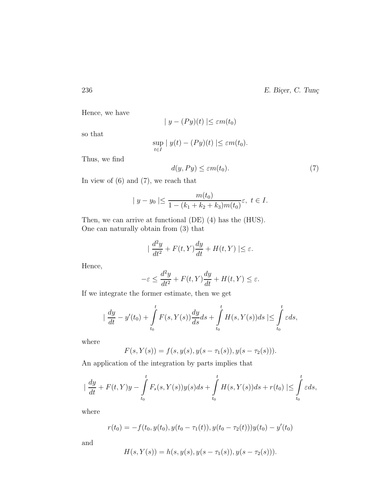Hence, we have

$$
|y - (Py)(t)| \le \varepsilon m(t_0)
$$

so that

$$
\sup_{t \in I} |y(t) - (Py)(t)| \le \varepsilon m(t_0).
$$

Thus, we find

$$
d(y, Py) \le \varepsilon m(t_0). \tag{7}
$$

In view of (6) and (7), we reach that

$$
|y - y_0| \le \frac{m(t_0)}{1 - (k_1 + k_2 + k_3)m(t_0)} \varepsilon, \ t \in I.
$$

Then, we can arrive at functional (DE) (4) has the (HUS). One can naturally obtain from (3) that

$$
\left| \frac{d^2y}{dt^2} + F(t,Y)\frac{dy}{dt} + H(t,Y) \right| \le \varepsilon.
$$

Hence,

$$
-\varepsilon \le \frac{d^2y}{dt^2} + F(t, Y)\frac{dy}{dt} + H(t, Y) \le \varepsilon.
$$

If we integrate the former estimate, then we get

$$
\left|\frac{dy}{dt} - y'(t_0) + \int\limits_{t_0}^t F(s, Y(s)) \frac{dy}{ds} ds + \int\limits_{t_0}^t H(s, Y(s)) ds \right| \leq \int\limits_{t_0}^t \varepsilon ds,
$$

where

$$
F(s,Y(s)) = f(s,y(s),y(s-\tau_1(s)),y(s-\tau_2(s))).
$$

An application of the integration by parts implies that

$$
\left|\frac{dy}{dt} + F(t,Y)y - \int_{t_0}^t F_s(s,Y(s))y(s)ds + \int_{t_0}^t H(s,Y(s))ds + r(t_0)\right| \leq \int_{t_0}^t \varepsilon ds,
$$

where

$$
r(t_0) = -f(t_0, y(t_0), y(t_0 - \tau_1(t)), y(t_0 - \tau_2(t)))y(t_0) - y'(t_0)
$$

and

$$
H(s,Y(s)) = h(s,y(s),y(s-\tau_1(s)),y(s-\tau_2(s))).
$$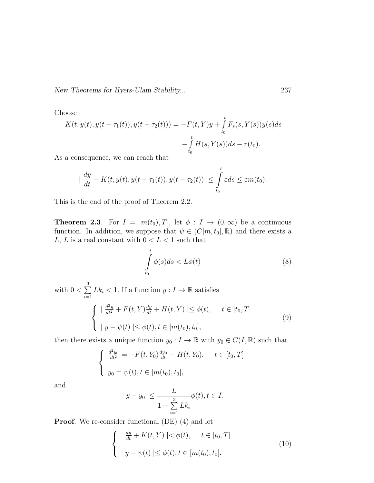New Theorems for Hyers-Ulam Stability... 237

Choose

$$
K(t, y(t), y(t - \tau_1(t)), y(t - \tau_2(t))) = -F(t, Y)y + \int_{t_0}^t F_s(s, Y(s))y(s)ds - \int_{t_0}^t H(s, Y(s))ds - r(t_0).
$$

As a consequence, we can reach that

$$
\left|\frac{dy}{dt} - K(t, y(t), y(t - \tau_1(t)), y(t - \tau_2(t))\right| \leq \int_{t_0}^t \varepsilon ds \leq \varepsilon m(t_0).
$$

This is the end of the proof of Theorem 2.2.

**Theorem 2.3.** For  $I = [m(t_0), T]$ , let  $\phi : I \to (0, \infty)$  be a continuous function. In addition, we suppose that  $\psi \in (C[m, t_0], \mathbb{R})$  and there exists a  $L,\, L$  is a real constant with  $0 < L < 1$  such that

$$
\int_{t_0}^t \phi(s)ds < L\phi(t) \tag{8}
$$

t

with  $0<\sum$ 3  $i=1$  $Lk_i < 1$ . If a function  $y: I \to \mathbb{R}$  satisfies

$$
\begin{cases}\n|\frac{d^2y}{dt^2} + F(t, Y)\frac{dy}{dt} + H(t, Y)| \le \phi(t), \quad t \in [t_0, T] \\
|y - \psi(t)| \le \phi(t), t \in [m(t_0), t_0],\n\end{cases} \tag{9}
$$

then there exists a unique function  $y_0: I \to \mathbb{R}$  with  $y_0 \in C(I, \mathbb{R})$  such that

$$
\begin{cases} \frac{d^2 y_0}{dt^2} = -F(t, Y_0) \frac{dy_0}{dt} - H(t, Y_0), \quad t \in [t_0, T] \\ y_0 = \psi(t), t \in [m(t_0), t_0], \end{cases}
$$

and

$$
|y - y_0| \leq \frac{L}{1 - \sum_{i=1}^3 L k_i} \phi(t), t \in I.
$$

**Proof.** We re-consider functional (DE) (4) and let

$$
\begin{cases}\n\left|\frac{dy}{dt} + K(t, Y)\right| < \phi(t), \quad t \in [t_0, T] \\
\left|\right. y - \psi(t)\right| \leq \phi(t), t \in [m(t_0), t_0].\n\end{cases} \tag{10}
$$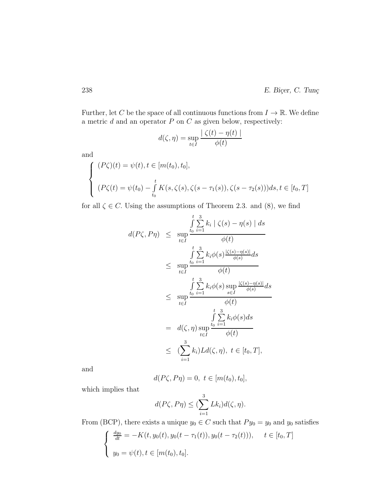Further, let C be the space of all continuous functions from  $I \to \mathbb{R}$ . We define a metric  $d$  and an operator  $P$  on  $\cal C$  as given below, respectively:

$$
d(\zeta, \eta) = \sup_{t \in I} \frac{|\zeta(t) - \eta(t)|}{\phi(t)}
$$

and

$$
\begin{cases}\n(P\zeta)(t) = \psi(t), t \in [m(t_0), t_0], \\
(P\zeta(t) = \psi(t_0) - \int_{t_0}^t K(s, \zeta(s), \zeta(s - \tau_1(s)), \zeta(s - \tau_2(s)))ds, t \in [t_0, T]\n\end{cases}
$$

for all  $\zeta \in C$ . Using the assumptions of Theorem 2.3. and (8), we find

$$
d(P\zeta, P\eta) \leq \sup_{t \in I} \frac{\int_{t_0}^{t_0} \sum_{i=1}^{3} k_i |\zeta(s) - \eta(s)| ds}{\phi(t)}
$$
  

$$
\leq \sup_{t \in I} \frac{\int_{t_0}^{t_0} \sum_{i=1}^{3} k_i \phi(s) \frac{|\zeta(s) - \eta(s)|}{\phi(s)} ds}{\phi(t)}
$$
  

$$
\leq \sup_{t \in I} \frac{\int_{t_0}^{t_0} \sum_{i=1}^{3} k_i \phi(s) \sup_{s \in I} \frac{|\zeta(s) - \eta(s)|}{\phi(s)} ds}{\phi(t)}
$$
  

$$
= d(\zeta, \eta) \sup_{t \in I} \frac{\int_{t_0}^{t_0} \sum_{i=1}^{3} k_i \phi(s) ds}{\phi(t)}
$$
  

$$
\leq (\sum_{i=1}^{3} k_i) L d(\zeta, \eta), t \in [t_0, T],
$$

and

$$
d(P\zeta, P\eta) = 0, \ t \in [m(t_0), t_0],
$$

which implies that

$$
d(P\zeta, P\eta) \leq (\sum_{i=1}^3 Lk_i)d(\zeta, \eta).
$$

From (BCP), there exists a unique  $y_0 \in C$  such that  $Py_0 = y_0$  and  $y_0$  satisfies

$$
\begin{cases} \frac{dy_0}{dt} = -K(t, y_0(t), y_0(t - \tau_1(t)), y_0(t - \tau_2(t))), \quad t \in [t_0, T] \\ y_0 = \psi(t), t \in [m(t_0), t_0]. \end{cases}
$$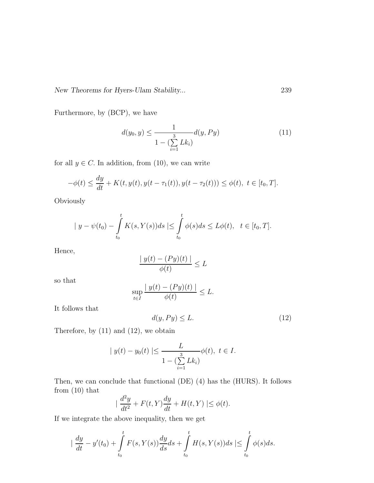New Theorems for Hyers-Ulam Stability... 239

Furthermore, by (BCP), we have

$$
d(y_0, y) \le \frac{1}{1 - (\sum_{i=1}^3 L k_i)} d(y, Py)
$$
\n(11)

for all  $y \in C$ . In addition, from (10), we can write

$$
-\phi(t) \le \frac{dy}{dt} + K(t, y(t), y(t - \tau_1(t)), y(t - \tau_2(t))) \le \phi(t), \ t \in [t_0, T].
$$

**Obviously** 

$$
|y - \psi(t_0) - \int_{t_0}^t K(s, Y(s))ds| \leq \int_{t_0}^t \phi(s)ds \leq L\phi(t), \quad t \in [t_0, T].
$$

Hence,

$$
\frac{|y(t) - (Py)(t)|}{\phi(t)} \le L
$$

so that

$$
\sup_{t\in I} \frac{|y(t) - (Py)(t)|}{\phi(t)} \le L.
$$

It follows that

$$
d(y, Py) \le L. \tag{12}
$$

Therefore, by (11) and (12), we obtain

$$
|y(t) - y_0(t)| \le \frac{L}{1 - (\sum_{i=1}^3 L k_i)} \phi(t), \ t \in I.
$$

Then, we can conclude that functional (DE) (4) has the (HURS). It follows from (10) that

$$
\left| \frac{d^2y}{dt^2} + F(t,Y)\frac{dy}{dt} + H(t,Y) \right| \le \phi(t).
$$

If we integrate the above inequality, then we get

$$
\frac{dy}{dt} - y'(t_0) + \int_{t_0}^t F(s, Y(s)) \frac{dy}{ds} ds + \int_{t_0}^t H(s, Y(s)) ds \le \int_{t_0}^t \phi(s) ds.
$$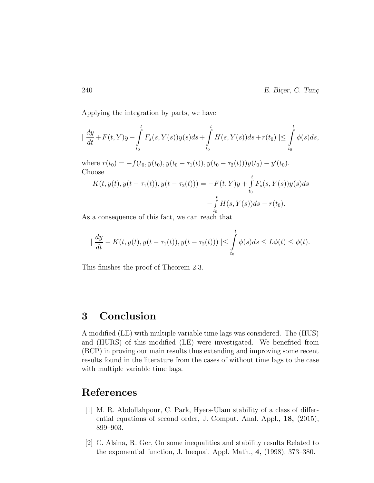Applying the integration by parts, we have

$$
\frac{dy}{dt} + F(t, Y)y - \int_{t_0}^t F_s(s, Y(s))y(s)ds + \int_{t_0}^t H(s, Y(s))ds + r(t_0) \leq \int_{t_0}^t \phi(s)ds,
$$

where  $r(t_0) = -f(t_0, y(t_0), y(t_0 - \tau_1(t)), y(t_0 - \tau_2(t)))y(t_0) - y'(t_0)$ . Choose

$$
K(t, y(t), y(t - \tau_1(t)), y(t - \tau_2(t))) = -F(t, Y)y + \int_{t_0}^t F_s(s, Y(s))y(s)ds
$$
  

$$
-\int_{t_0}^t H(s, Y(s))ds - r(t_0).
$$

As a consequence of this fact, we can reach that

$$
\left| \frac{dy}{dt} - K(t, y(t), y(t - \tau_1(t)), y(t - \tau_2(t))) \right| \leq \int_{t_0}^t \phi(s) ds \leq L\phi(t) \leq \phi(t).
$$

This finishes the proof of Theorem 2.3.

### 3 Conclusion

A modified (LE) with multiple variable time lags was considered. The (HUS) and (HURS) of this modified (LE) were investigated. We benefited from (BCP) in proving our main results thus extending and improving some recent results found in the literature from the cases of without time lags to the case with multiple variable time lags.

# References

- [1] M. R. Abdollahpour, C. Park, Hyers-Ulam stability of a class of differential equations of second order, J. Comput. Anal. Appl., 18, (2015), 899–903.
- [2] C. Alsina, R. Ger, On some inequalities and stability results Related to the exponential function, J. Inequal. Appl. Math., 4, (1998), 373–380.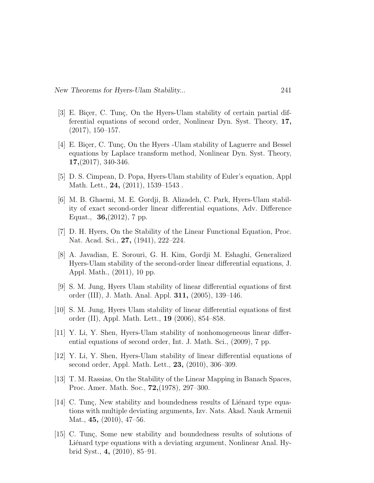- [3] E. Biçer, C. Tunç, On the Hyers-Ulam stability of certain partial differential equations of second order, Nonlinear Dyn. Syst. Theory, 17, (2017), 150–157.
- [4] E. Bicer, C. Tunc, On the Hyers -Ulam stability of Laguerre and Bessel equations by Laplace transform method, Nonlinear Dyn. Syst. Theory, 17,(2017), 340-346.
- [5] D. S. Cimpean, D. Popa, Hyers-Ulam stability of Euler's equation, Appl Math. Lett., **24,** (2011), 1539–1543.
- [6] M. B. Ghaemi, M. E. Gordji, B. Alizadeh, C. Park, Hyers-Ulam stability of exact second-order linear differential equations, Adv. Difference Equat., 36,(2012), 7 pp.
- [7] D. H. Hyers, On the Stability of the Linear Functional Equation, Proc. Nat. Acad. Sci., 27, (1941), 222–224.
- [8] A. Javadian, E. Sorouri, G. H. Kim, Gordji M. Eshaghi, Generalized Hyers-Ulam stability of the second-order linear differential equations, J. Appl. Math., (2011), 10 pp.
- [9] S. M. Jung, Hyers Ulam stability of linear differential equations of first order (III), J. Math. Anal. Appl. 311, (2005), 139–146.
- [10] S. M. Jung, Hyers Ulam stability of linear differential equations of first order (II), Appl. Math. Lett., 19 (2006), 854–858.
- [11] Y. Li, Y. Shen, Hyers-Ulam stability of nonhomogeneous linear differential equations of second order, Int. J. Math. Sci., (2009), 7 pp.
- [12] Y. Li, Y. Shen, Hyers-Ulam stability of linear differential equations of second order, Appl. Math. Lett., 23, (2010), 306–309.
- [13] T. M. Rassias, On the Stability of the Linear Mapping in Banach Spaces, Proc. Amer. Math. Soc., 72,(1978), 297–300.
- [14] C. Tunç, New stability and boundedness results of Liénard type equations with multiple deviating arguments, Izv. Nats. Akad. Nauk Armenii Mat., **45,** (2010), 47–56.
- [15] C. Tunc, Some new stability and boundedness results of solutions of Liénard type equations with a deviating argument, Nonlinear Anal. Hybrid Syst., 4, (2010), 85–91.